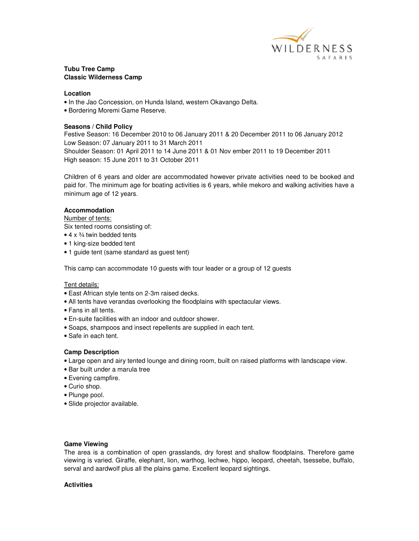

# **Tubu Tree Camp Classic Wilderness Camp**

### **Location**

- In the Jao Concession, on Hunda Island, western Okavango Delta.
- Bordering Moremi Game Reserve.

### **Seasons / Child Policy**

Festive Season: 16 December 2010 to 06 January 2011 & 20 December 2011 to 06 January 2012 Low Season: 07 January 2011 to 31 March 2011 Shoulder Season: 01 April 2011 to 14 June 2011 & 01 Nov ember 2011 to 19 December 2011 High season: 15 June 2011 to 31 October 2011

Children of 6 years and older are accommodated however private activities need to be booked and paid for. The minimum age for boating activities is 6 years, while mekoro and walking activities have a minimum age of 12 years.

### **Accommodation**

#### Number of tents:

Six tented rooms consisting of:

- $\bullet$  4 x  $\frac{3}{4}$  twin bedded tents
- 1 king-size bedded tent
- 1 guide tent (same standard as guest tent)

This camp can accommodate 10 guests with tour leader or a group of 12 guests

#### Tent details:

- East African style tents on 2-3m raised decks.
- All tents have verandas overlooking the floodplains with spectacular views.
- Fans in all tents.
- En-suite facilities with an indoor and outdoor shower.
- Soaps, shampoos and insect repellents are supplied in each tent.
- Safe in each tent.

#### **Camp Description**

- Large open and airy tented lounge and dining room, built on raised platforms with landscape view.
- Bar built under a marula tree
- Evening campfire.
- Curio shop.
- Plunge pool.
- Slide projector available.

#### **Game Viewing**

The area is a combination of open grasslands, dry forest and shallow floodplains. Therefore game viewing is varied. Giraffe, elephant, lion, warthog, lechwe, hippo, leopard, cheetah, tsessebe, buffalo, serval and aardwolf plus all the plains game. Excellent leopard sightings.

#### **Activities**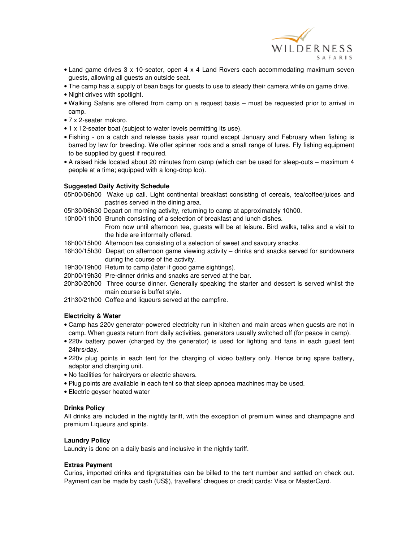

- Land game drives 3 x 10-seater, open 4 x 4 Land Rovers each accommodating maximum seven guests, allowing all guests an outside seat.
- The camp has a supply of bean bags for guests to use to steady their camera while on game drive.
- Night drives with spotlight.
- Walking Safaris are offered from camp on a request basis must be requested prior to arrival in camp.
- 7 x 2-seater mokoro.
- 1 x 12-seater boat (subject to water levels permitting its use).
- Fishing on a catch and release basis year round except January and February when fishing is barred by law for breeding. We offer spinner rods and a small range of lures. Fly fishing equipment to be supplied by guest if required.
- A raised hide located about 20 minutes from camp (which can be used for sleep-outs maximum 4 people at a time; equipped with a long-drop loo).

# **Suggested Daily Activity Schedule**

05h00/06h00 Wake up call. Light continental breakfast consisting of cereals, tea/coffee/juices and pastries served in the dining area.

05h30/06h30 Depart on morning activity, returning to camp at approximately 10h00.

10h00/11h00 Brunch consisting of a selection of breakfast and lunch dishes.

 From now until afternoon tea, guests will be at leisure. Bird walks, talks and a visit to the hide are informally offered.

- 16h00/15h00 Afternoon tea consisting of a selection of sweet and savoury snacks.
- 16h30/15h30 Depart on afternoon game viewing activity drinks and snacks served for sundowners during the course of the activity.
- 19h30/19h00 Return to camp (later if good game sightings).
- 20h00/19h30 Pre-dinner drinks and snacks are served at the bar.
- 20h30/20h00 Three course dinner. Generally speaking the starter and dessert is served whilst the main course is buffet style.
- 21h30/21h00 Coffee and liqueurs served at the campfire.

# **Electricity & Water**

- Camp has 220v generator-powered electricity run in kitchen and main areas when guests are not in camp. When guests return from daily activities, generators usually switched off (for peace in camp).
- 220v battery power (charged by the generator) is used for lighting and fans in each guest tent 24hrs/day.
- 220v plug points in each tent for the charging of video battery only. Hence bring spare battery, adaptor and charging unit.
- No facilities for hairdryers or electric shavers.
- Plug points are available in each tent so that sleep apnoea machines may be used.
- Electric geyser heated water

# **Drinks Policy**

All drinks are included in the nightly tariff, with the exception of premium wines and champagne and premium Liqueurs and spirits.

# **Laundry Policy**

Laundry is done on a daily basis and inclusive in the nightly tariff.

# **Extras Payment**

Curios, imported drinks and tip/gratuities can be billed to the tent number and settled on check out. Payment can be made by cash (US\$), travellers' cheques or credit cards: Visa or MasterCard.